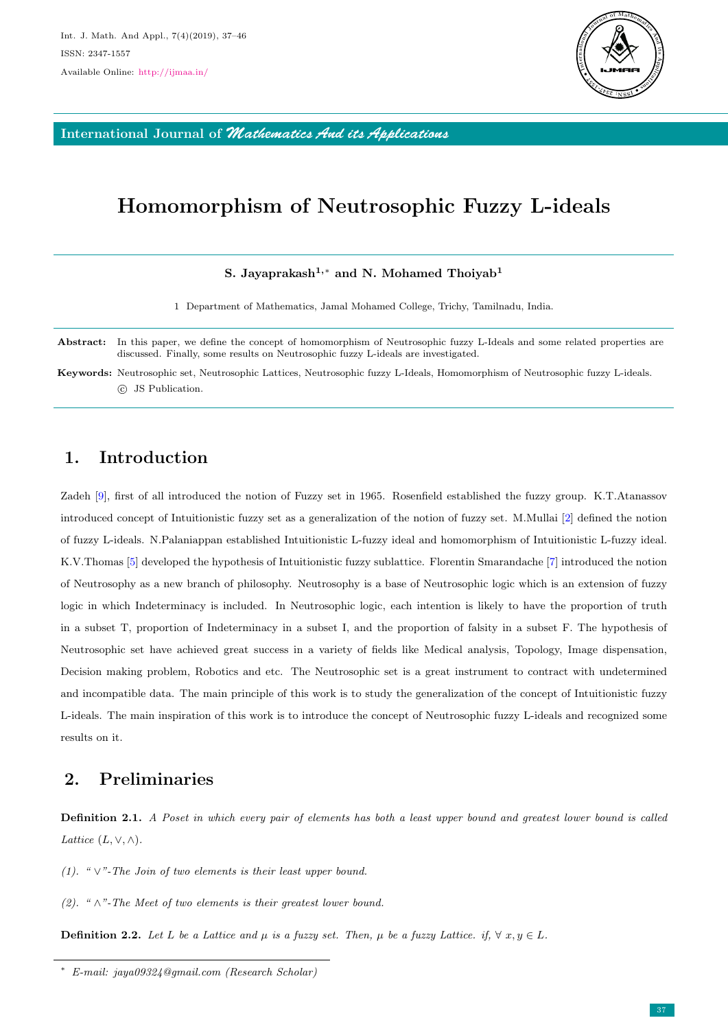

International Journal of *Mathematics And its Applications*

# Homomorphism of Neutrosophic Fuzzy L-ideals

### S. Jayaprakash<sup>1,∗</sup> and N. Mohamed Thoiyab<sup>1</sup>

1 Department of Mathematics, Jamal Mohamed College, Trichy, Tamilnadu, India.

Abstract: In this paper, we define the concept of homomorphism of Neutrosophic fuzzy L-Ideals and some related properties are discussed. Finally, some results on Neutrosophic fuzzy L-ideals are investigated.

Keywords: Neutrosophic set, Neutrosophic Lattices, Neutrosophic fuzzy L-Ideals, Homomorphism of Neutrosophic fuzzy L-ideals. c JS Publication.

## 1. Introduction

Zadeh [\[9\]](#page-9-0), first of all introduced the notion of Fuzzy set in 1965. Rosenfield established the fuzzy group. K.T.Atanassov introduced concept of Intuitionistic fuzzy set as a generalization of the notion of fuzzy set. M.Mullai [\[2\]](#page-8-0) defined the notion of fuzzy L-ideals. N.Palaniappan established Intuitionistic L-fuzzy ideal and homomorphism of Intuitionistic L-fuzzy ideal. K.V.Thomas [\[5\]](#page-9-1) developed the hypothesis of Intuitionistic fuzzy sublattice. Florentin Smarandache [\[7\]](#page-9-2) introduced the notion of Neutrosophy as a new branch of philosophy. Neutrosophy is a base of Neutrosophic logic which is an extension of fuzzy logic in which Indeterminacy is included. In Neutrosophic logic, each intention is likely to have the proportion of truth in a subset T, proportion of Indeterminacy in a subset I, and the proportion of falsity in a subset F. The hypothesis of Neutrosophic set have achieved great success in a variety of fields like Medical analysis, Topology, Image dispensation, Decision making problem, Robotics and etc. The Neutrosophic set is a great instrument to contract with undetermined and incompatible data. The main principle of this work is to study the generalization of the concept of Intuitionistic fuzzy L-ideals. The main inspiration of this work is to introduce the concept of Neutrosophic fuzzy L-ideals and recognized some results on it.

# 2. Preliminaries

Definition 2.1. A Poset in which every pair of elements has both a least upper bound and greatest lower bound is called Lattice  $(L, \vee, \wedge)$ .

(1). " $\vee$ "-The Join of two elements is their least upper bound.

(2). " $\wedge$ "-The Meet of two elements is their greatest lower bound.

**Definition 2.2.** Let L be a Lattice and  $\mu$  is a fuzzy set. Then,  $\mu$  be a fuzzy Lattice. if,  $\forall x, y \in L$ .

<sup>∗</sup> E-mail: jaya09324@gmail.com (Research Scholar)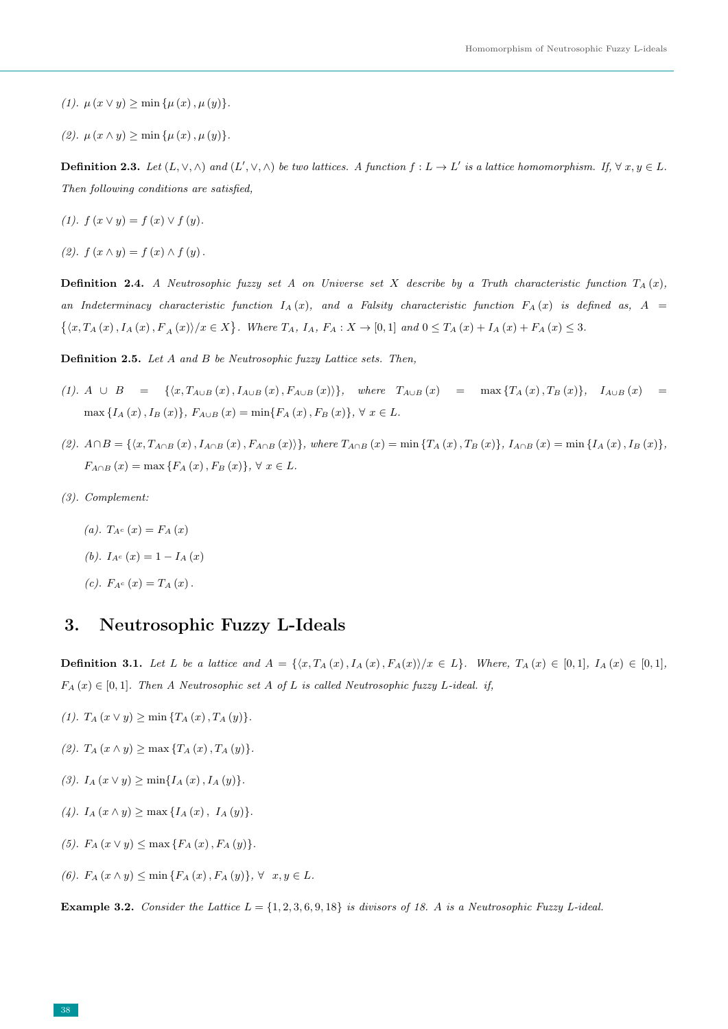- (1).  $\mu(x \vee y) \ge \min{\{\mu(x), \mu(y)\}}$ .
- (2).  $\mu(x \wedge y) \ge \min{\{\mu(x), \mu(y)\}}$ .

**Definition 2.3.** Let  $(L, \vee, \wedge)$  and  $(L', \vee, \wedge)$  be two lattices. A function  $f: L \to L'$  is a lattice homomorphism. If,  $\forall x, y \in L$ . Then following conditions are satisfied,

- (1).  $f(x \vee y) = f(x) \vee f(y)$ .
- (2).  $f(x \wedge y) = f(x) \wedge f(y)$ .

**Definition 2.4.** A Neutrosophic fuzzy set A on Universe set X describe by a Truth characteristic function  $T_A(x)$ , an Indeterminacy characteristic function  $I_A(x)$ , and a Falsity characteristic function  $F_A(x)$  is defined as,  $A =$  $\{(x, T_A(x), I_A(x), F_A(x) \mid x \in X\}$ . Where  $T_A$ ,  $I_A$ ,  $F_A : X \to [0,1]$  and  $0 \le T_A(x) + I_A(x) + F_A(x) \le 3$ .

Definition 2.5. Let A and B be Neutrosophic fuzzy Lattice sets. Then,

- (1). A ∪ B = { $\langle x, T_{A\cup B}(x), I_{A\cup B}(x), F_{A\cup B}(x)\rangle$ }, where  $T_{A\cup B}(x)$  = max { $T_A(x), T_B(x)$ },  $I_{A\cup B}(x)$  = max  $\{I_A(x), I_B(x)\}, F_{A\cup B}(x) = \min\{F_A(x), F_B(x)\}, \forall x \in L.$
- (2).  $A \cap B = \{ \langle x, T_{A \cap B} (x), I_{A \cap B} (x), F_{A \cap B} (x) \rangle \},$  where  $T_{A \cap B} (x) = \min \{ T_A (x), T_B (x) \}, I_{A \cap B} (x) = \min \{ I_A (x), I_B (x) \},$  $F_{A\cap B}(x) = \max\{F_A(x), F_B(x)\}, \forall x \in L.$
- (3). Complement:
	- (a).  $T_{A^c}(x) = F_A(x)$
	- (b).  $I_{A^c}(x) = 1 I_A(x)$
	- (c).  $F_{Ac}(x) = T_{A}(x)$ .

#### 3. Neutrosophic Fuzzy L-Ideals

**Definition 3.1.** Let L be a lattice and  $A = \{ \langle x, T_A(x), I_A(x), F_A(x) \rangle / x \in L \}.$  Where,  $T_A(x) \in [0,1], I_A(x) \in [0,1],$  $F_A(x) \in [0,1]$ . Then A Neutrosophic set A of L is called Neutrosophic fuzzy L-ideal. if,

- (1).  $T_A(x \vee y) \ge \min \{T_A(x), T_A(y)\}.$
- (2).  $T_A(x \wedge y) \ge \max \{T_A(x), T_A(y)\}.$
- (3).  $I_A(x \vee y) \ge \min\{I_A(x), I_A(y)\}.$
- (4).  $I_A(x \wedge y) \ge \max \{I_A(x), I_A(y)\}.$
- (5).  $F_A(x \vee y) \le \max \{ F_A(x), F_A(y) \}.$
- (6).  $F_A(x \wedge y) \leq \min \{ F_A(x), F_A(y) \}, \forall x, y \in L.$

**Example 3.2.** Consider the Lattice  $L = \{1, 2, 3, 6, 9, 18\}$  is divisors of 18. A is a Neutrosophic Fuzzy L-ideal.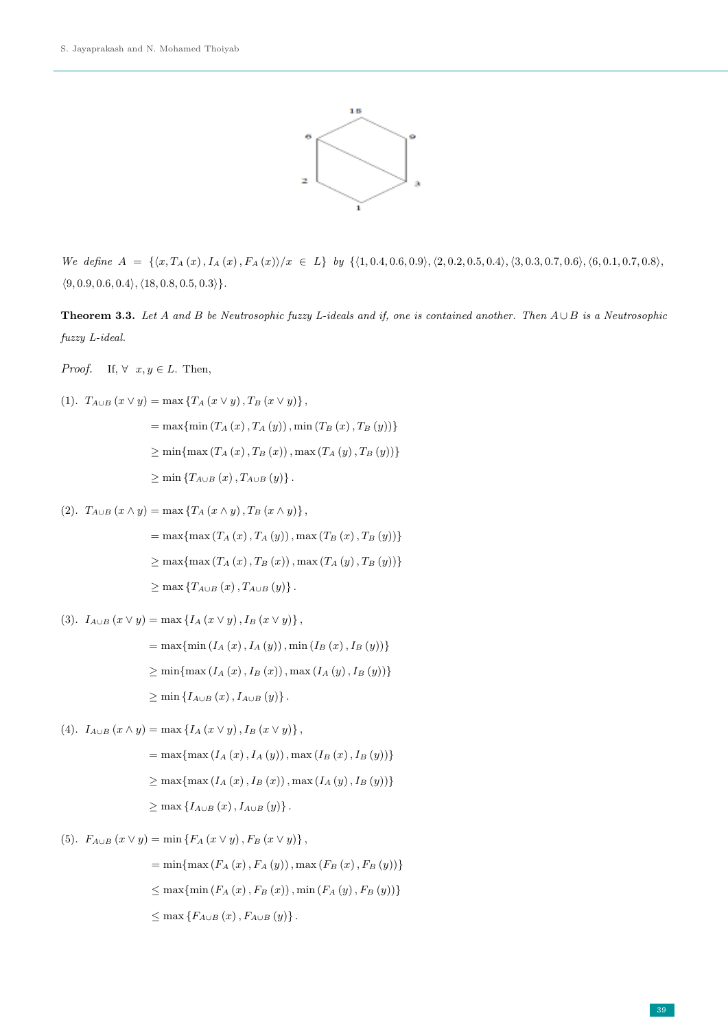

We define  $A = \{ \langle x, T_A(x), I_A(x), F_A(x) \rangle / x \in L \}$  by  $\{ \langle 1, 0.4, 0.6, 0.9 \rangle, \langle 2, 0.2, 0.5, 0.4 \rangle, \langle 3, 0.3, 0.7, 0.6 \rangle, \langle 6, 0.1, 0.7, 0.8 \rangle,$  $\langle 9, 0.9, 0.6, 0.4 \rangle, \langle 18, 0.8, 0.5, 0.3 \rangle\}.$ 

**Theorem 3.3.** Let A and B be Neutrosophic fuzzy L-ideals and if, one is contained another. Then  $A \cup B$  is a Neutrosophic fuzzy L-ideal.

*Proof.* If,  $\forall x, y \in L$ . Then,

(1). 
$$
T_{A\cup B}(x \vee y) = \max \{T_A(x \vee y), T_B(x \vee y)\},
$$
  
\n
$$
= \max \{\min (T_A(x), T_A(y)), \min (T_B(x), T_B(y))\}
$$
\n
$$
\geq \min \{\max (T_A(x), T_B(x)), \max (T_A(y), T_B(y))\}
$$
\n
$$
\geq \min \{T_{A\cup B}(x), T_{A\cup B}(y)\}.
$$

(2).  $T_{A\cup B} (x \wedge y) = \max \{ T_A (x \wedge y), T_B (x \wedge y) \},$ 

= max{max (T<sup>A</sup> (x), T<sup>A</sup> (y)), max (T<sup>B</sup> (x), T<sup>B</sup> (y))} ≥ max{max (T<sup>A</sup> (x), T<sup>B</sup> (x)), max (T<sup>A</sup> (y), T<sup>B</sup> (y))} ≥ max {TA∪<sup>B</sup> (x), TA∪<sup>B</sup> (y)} .

(3).  $I_{A\cup B}(x \vee y) = \max \{ I_A(x \vee y), I_B(x \vee y) \},$ 

= max{min (I<sup>A</sup> (x), I<sup>A</sup> (y)), min (I<sup>B</sup> (x), I<sup>B</sup> (y))} ≥ min{max (I<sup>A</sup> (x), I<sup>B</sup> (x)), max (I<sup>A</sup> (y), I<sup>B</sup> (y))} ≥ min {IA∪<sup>B</sup> (x), IA∪<sup>B</sup> (y)} .

- (4).  $I_{A\cup B}(x \wedge y) = \max \{I_A(x \vee y), I_B(x \vee y)\},$ 
	- $=\max\{\max (I_{A}(x), I_{A}(y)), \max (I_{B}(x), I_{B}(y))\}$  $\geq$  max { $\max (I_{A}(x), I_{B}(x))$ , max  $(I_{A}(y), I_{B}(y))$ }  $\geq$  max  $\{I_{A\cup B}(x), I_{A\cup B}(y)\}.$
- (5).  $F_{A\cup B}(x \vee y) = \min \{F_A(x \vee y), F_B(x \vee y)\},$

= min{max (F<sub>A</sub> (x), F<sub>A</sub> (y)), max (F<sub>B</sub> (x), F<sub>B</sub> (y))}  
\n
$$
\leq
$$
 max{min (F<sub>A</sub> (x), F<sub>B</sub> (x)), min (F<sub>A</sub> (y), F<sub>B</sub> (y))}  
\n $\leq$  max{F<sub>A<sub>U<sub>B</sub></sub> (x), F<sub>A<sub>U<sub>B</sub></sub> (y)}.</sub></sub>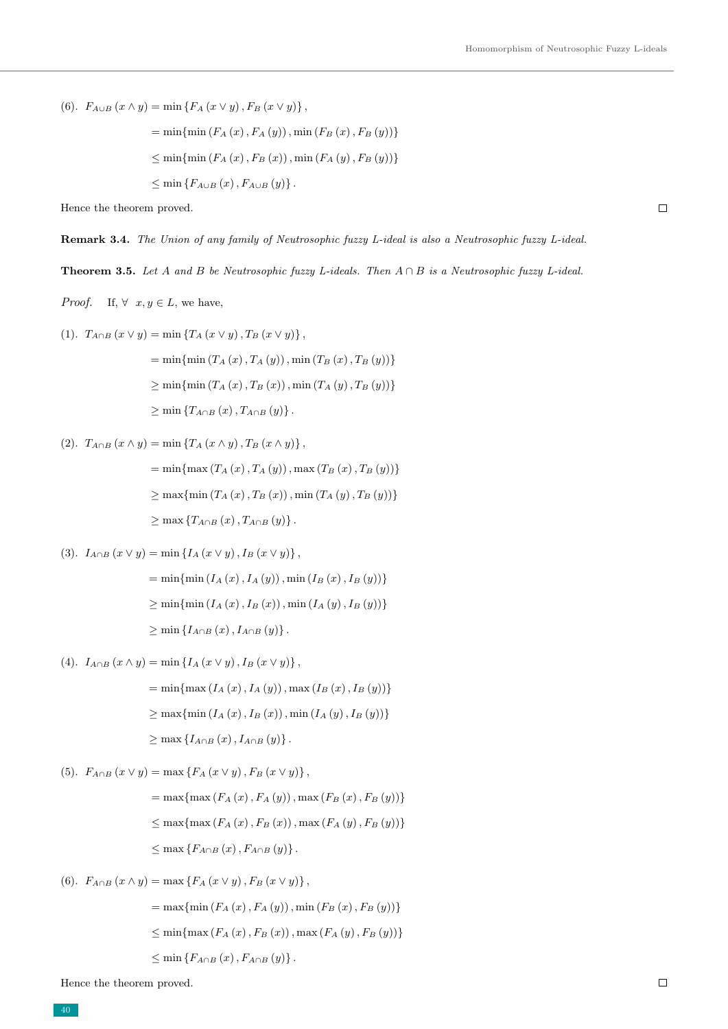$\Box$ 

(6).  $F_{A\cup B}(x \wedge y) = \min \{F_A(x \vee y), F_B(x \vee y)\},$ 

$$
= \min \{ \min (F_A(x), F_A(y)), \min (F_B(x), F_B(y)) \}
$$
  

$$
\leq \min \{ \min (F_A(x), F_B(x)), \min (F_A(y), F_B(y)) \}
$$
  

$$
\leq \min \{ F_{A \cup B}(x), F_{A \cup B}(y) \}.
$$

Hence the theorem proved.

Remark 3.4. The Union of any family of Neutrosophic fuzzy L-ideal is also a Neutrosophic fuzzy L-ideal.

Theorem 3.5. Let A and B be Neutrosophic fuzzy L-ideals. Then  $A \cap B$  is a Neutrosophic fuzzy L-ideal.

*Proof.* If,  $\forall x, y \in L$ , we have,

(1). 
$$
T_{A \cap B} (x \vee y) = \min \{ T_A (x \vee y), T_B (x \vee y) \},
$$

$$
= \min \{ \min (T_A (x), T_A (y)), \min (T_B (x), T_B (y)) \}
$$

$$
\geq \min \{ \min (T_A (x), T_B (x)), \min (T_A (y), T_B (y)) \}
$$

$$
\geq \min \{ T_{A \cap B} (x), T_{A \cap B} (y) \}.
$$

(2).  $T_{A\cap B} (x \wedge y) = \min \{T_A (x \wedge y), T_B (x \wedge y)\},$ 

= min{max (T<sup>A</sup> (x), T<sup>A</sup> (y)), max (T<sup>B</sup> (x), T<sup>B</sup> (y))} ≥ max{min (T<sup>A</sup> (x), T<sup>B</sup> (x)), min (T<sup>A</sup> (y), T<sup>B</sup> (y))} ≥ max {TA∩<sup>B</sup> (x), TA∩<sup>B</sup> (y)} .

$$
(3). \ \ I_{A\cap B}\left(x\vee y\right)=\min\left\{I_A\left(x\vee y\right),I_B\left(x\vee y\right)\right\},\
$$

= min{min (I<sup>A</sup> (x), I<sup>A</sup> (y)), min (I<sup>B</sup> (x), I<sup>B</sup> (y))} ≥ min{min (I<sup>A</sup> (x), I<sup>B</sup> (x)), min (I<sup>A</sup> (y), I<sup>B</sup> (y))} ≥ min {IA∩<sup>B</sup> (x), IA∩<sup>B</sup> (y)} .

(4).  $I_{A\cap B} (x \wedge y) = \min \{ I_A (x \vee y), I_B (x \vee y) \},$ 

= min{max (I<sup>A</sup> (x), I<sup>A</sup> (y)), max (I<sup>B</sup> (x), I<sup>B</sup> (y))} ≥ max{min (I<sup>A</sup> (x), I<sup>B</sup> (x)), min (I<sup>A</sup> (y), I<sup>B</sup> (y))} ≥ max {IA∩<sup>B</sup> (x), IA∩<sup>B</sup> (y)} .

(5).  $F_{A\cap B}(x\vee y) = \max\{F_A(x\vee y), F_B(x\vee y)\},$ 

= max{max (F<sub>A</sub> (x), F<sub>A</sub> (y)), max (F<sub>B</sub> (x), F<sub>B</sub> (y))}  
\n
$$
\leq
$$
 max{max (F<sub>A</sub> (x), F<sub>B</sub> (x)), max (F<sub>A</sub> (y), F<sub>B</sub> (y))}  
\n $\leq$  max {F<sub>A<sub>∩B</sub></sub> (x), F<sub>A<sub>∩B</sub></sub> (y)}.

(6).  $F_{A\cap B} (x \wedge y) = \max \{ F_A (x \vee y), F_B (x \vee y) \},$ 

$$
= \max \{ \min (F_A(x), F_A(y)), \min (F_B(x), F_B(y)) \}
$$
  

$$
\leq \min \{ \max (F_A(x), F_B(x)), \max (F_A(y), F_B(y)) \}
$$
  

$$
\leq \min \{ F_{A \cap B}(x), F_{A \cap B}(y) \}.
$$

Hence the theorem proved.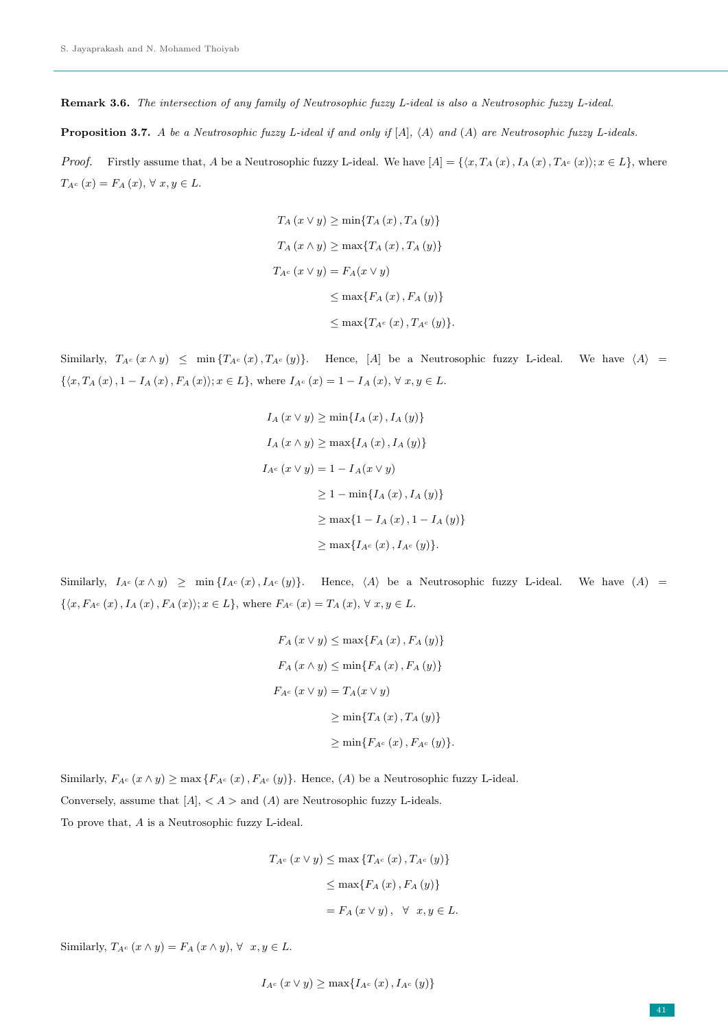Remark 3.6. The intersection of any family of Neutrosophic fuzzy L-ideal is also a Neutrosophic fuzzy L-ideal.

**Proposition 3.7.** A be a Neutrosophic fuzzy L-ideal if and only if  $[A]$ ,  $\langle A \rangle$  and  $(A)$  are Neutrosophic fuzzy L-ideals.

*Proof.* Firstly assume that, A be a Neutrosophic fuzzy L-ideal. We have  $[A] = \{\langle x, T_A(x), I_A(x), T_{A}(x)\rangle; x \in L\}$ , where  $T_{A^c}(x) = F_A(x), \forall x, y \in L.$ 

$$
T_A(x \vee y) \ge \min\{T_A(x), T_A(y)\}
$$
  
\n
$$
T_A(x \wedge y) \ge \max\{T_A(x), T_A(y)\}
$$
  
\n
$$
T_{A^c}(x \vee y) = F_A(x \vee y)
$$
  
\n
$$
\le \max\{F_A(x), F_A(y)\}
$$
  
\n
$$
\le \max\{T_{A^c}(x), T_{A^c}(y)\}.
$$

Similarly,  $T_{A^c}(x \wedge y) \leq \min \{T_{A^c}(x), T_{A^c}(y)\}.$  Hence, [A] be a Neutrosophic fuzzy L-ideal. We have  $\langle A \rangle$  =  $\{\langle x, T_A(x), 1 - I_A(x), F_A(x)\rangle; x \in L\},\$  where  $I_{A^c}(x) = 1 - I_A(x), \forall x, y \in L.$ 

$$
I_A(x \vee y) \ge \min\{I_A(x), I_A(y)\}
$$
  
\n
$$
I_A(x \wedge y) \ge \max\{I_A(x), I_A(y)\}
$$
  
\n
$$
I_{A^c}(x \vee y) = 1 - I_A(x \vee y)
$$
  
\n
$$
\ge 1 - \min\{I_A(x), I_A(y)\}
$$
  
\n
$$
\ge \max\{1 - I_A(x), 1 - I_A(y)\}
$$
  
\n
$$
\ge \max\{I_{A^c}(x), I_{A^c}(y)\}.
$$

Similarly,  $I_{A^c}(x \wedge y) \geq \min\{I_{A^c}(x), I_{A^c}(y)\}.$  Hence,  $\langle A \rangle$  be a Neutrosophic fuzzy L-ideal. We have  $(A)$  =  $\{\langle x, F_{A^c}(x), I_A(x), F_A(x)\rangle; x \in L\}$ , where  $F_{A^c}(x) = T_A(x), \forall x, y \in L$ .

$$
F_A(x \vee y) \le \max\{F_A(x), F_A(y)\}
$$
  
\n
$$
F_A(x \wedge y) \le \min\{F_A(x), F_A(y)\}
$$
  
\n
$$
F_{A^c}(x \vee y) = T_A(x \vee y)
$$
  
\n
$$
\ge \min\{T_A(x), T_A(y)\}
$$
  
\n
$$
\ge \min\{F_{A^c}(x), F_{A^c}(y)\}.
$$

Similarly,  $F_{A^c}(x \wedge y) \ge \max \{ F_{A^c}(x), F_{A^c}(y) \}.$  Hence, (A) be a Neutrosophic fuzzy L-ideal. Conversely, assume that  $[A]$ ,  $\langle A \rangle$  and  $(A)$  are Neutrosophic fuzzy L-ideals. To prove that, A is a Neutrosophic fuzzy L-ideal.

$$
T_{A^c}(x \vee y) \le \max \{ T_{A^c}(x), T_{A^c}(y) \}
$$

$$
\le \max \{ F_A(x), F_A(y) \}
$$

$$
= F_A(x \vee y), \quad \forall \quad x, y \in L.
$$

Similarly,  $T_{A^c}(x \wedge y) = F_A(x \wedge y), \forall x, y \in L$ .

$$
I_{A^c}(x \vee y) \ge \max\{I_{A^c}(x), I_{A^c}(y)\}\
$$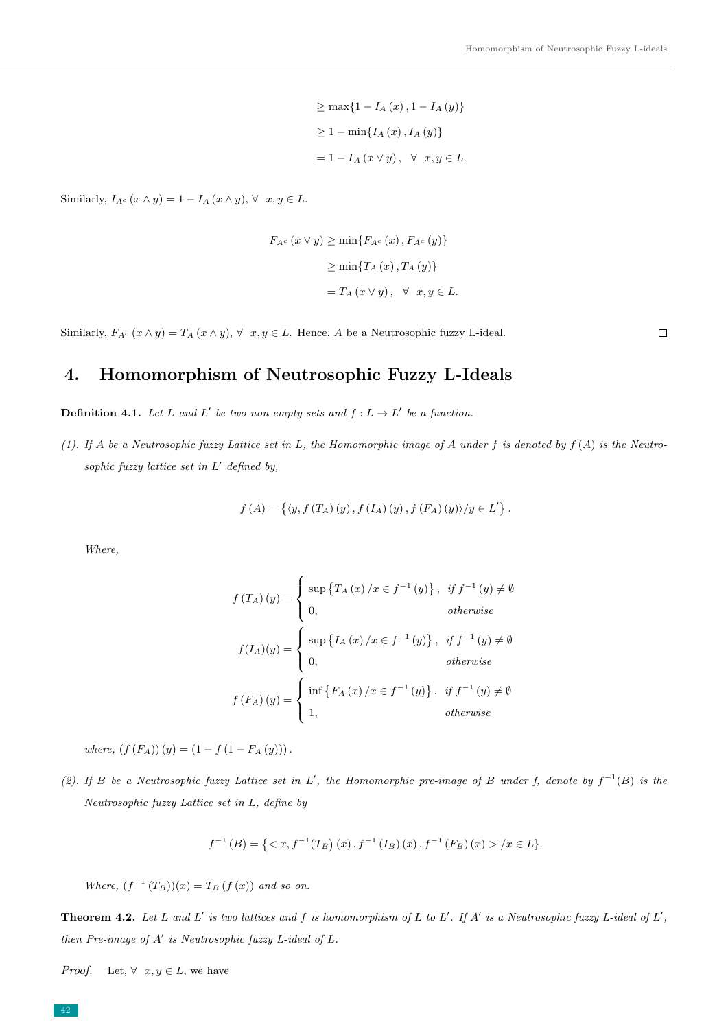$$
\geq \max\{1 - I_A(x), 1 - I_A(y)\}
$$
  

$$
\geq 1 - \min\{I_A(x), I_A(y)\}
$$
  

$$
= 1 - I_A(x \vee y), \forall x, y \in L.
$$

Similarly,  $I_{A^c}(x \wedge y) = 1 - I_A(x \wedge y), \forall x, y \in L$ .

$$
F_{A^c}(x \vee y) \ge \min\{F_{A^c}(x), F_{A^c}(y)\}
$$

$$
\ge \min\{T_{A}(x), T_{A}(y)\}
$$

$$
= T_{A}(x \vee y), \quad \forall x, y \in L.
$$

Similarly,  $F_{A^c}(x \wedge y) = T_A(x \wedge y)$ ,  $\forall x, y \in L$ . Hence, A be a Neutrosophic fuzzy L-ideal.

 $\Box$ 

# 4. Homomorphism of Neutrosophic Fuzzy L-Ideals

**Definition 4.1.** Let L and L' be two non-empty sets and  $f: L \to L'$  be a function.

(1). If A be a Neutrosophic fuzzy Lattice set in L, the Homomorphic image of A under f is denoted by  $f(A)$  is the Neutrosophic fuzzy lattice set in  $L'$  defined by,

$$
f(A) = \{ \langle y, f(T_A) (y), f(I_A) (y), f(F_A) (y) \rangle / y \in L' \}.
$$

Where,

$$
f(T_A)(y) = \begin{cases} \sup \{T_A(x)/x \in f^{-1}(y)\}, & \text{if } f^{-1}(y) \neq \emptyset \\ 0, & \text{otherwise} \end{cases}
$$

$$
f(I_A)(y) = \begin{cases} \sup \{I_A(x)/x \in f^{-1}(y)\}, & \text{if } f^{-1}(y) \neq \emptyset \\ 0, & \text{otherwise} \end{cases}
$$

$$
f(F_A)(y) = \begin{cases} \inf \{F_A(x)/x \in f^{-1}(y)\}, & \text{if } f^{-1}(y) \neq \emptyset \\ 1, & \text{otherwise} \end{cases}
$$

where,  $(f(F_A))(y) = (1 - f(1 - F_A(y)))$ .

(2). If B be a Neutrosophic fuzzy Lattice set in L', the Homomorphic pre-image of B under f, denote by  $f^{-1}(B)$  is the Neutrosophic fuzzy Lattice set in L, define by

$$
f^{-1}(B) = \{ \langle x, f^{-1}(T_B)(x), f^{-1}(I_B)(x), f^{-1}(F_B)(x) \rangle / x \in L \}.
$$

Where,  $(f^{-1}(T_B))(x) = T_B(f(x))$  and so on.

**Theorem 4.2.** Let L and L' is two lattices and f is homomorphism of L to L'. If A' is a Neutrosophic fuzzy L-ideal of L', then Pre-image of  $A'$  is Neutrosophic fuzzy L-ideal of L.

*Proof.* Let,  $\forall x, y \in L$ , we have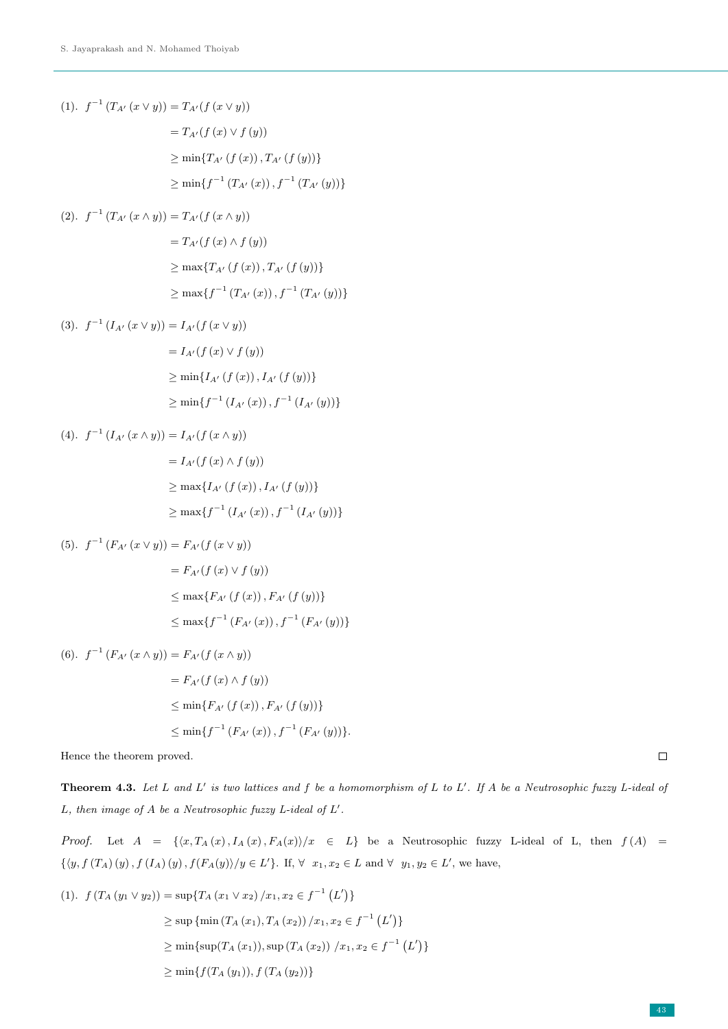(1). 
$$
f^{-1}(T_{A'}(x \vee y)) = T_{A'}(f(x \vee y))
$$
  
\n
$$
= T_{A'}(f(x) \vee f(y))
$$
\n
$$
\geq \min\{T_{A'}(f(x)), T_{A'}(f(y))\}
$$
\n
$$
\geq \min\{f^{-1}(T_{A'}(x)), f^{-1}(T_{A'}(y))\}
$$

$$
(2). \ \ f^{-1}(T_{A'}(x \wedge y)) = T_{A'}(f(x \wedge y))
$$

$$
= T_{A'}(f(x) \wedge f(y))
$$

$$
\geq \max\{T_{A'}(f(x)), T_{A'}(f(y))\}
$$

$$
\geq \max\{f^{-1}(T_{A'}(x)), f^{-1}(T_{A'}(y))\}
$$

(3). 
$$
f^{-1} (I_{A'} (x \vee y)) = I_{A'}(f (x \vee y))
$$
  
\n
$$
= I_{A'}(f (x) \vee f (y))
$$
\n
$$
\geq \min \{ I_{A'} (f (x)), I_{A'} (f (y)) \}
$$
\n
$$
\geq \min \{ f^{-1} (I_{A'} (x)), f^{-1} (I_{A'} (y)) \}
$$

(4). 
$$
f^{-1}(I_{A'}(x \wedge y)) = I_{A'}(f(x \wedge y))
$$
  
\n
$$
= I_{A'}(f(x) \wedge f(y))
$$
\n
$$
\geq \max\{I_{A'}(f(x)), I_{A'}(f(y))\}
$$
\n
$$
\geq \max\{f^{-1}(I_{A'}(x)), f^{-1}(I_{A'}(y))\}
$$

(5). 
$$
f^{-1}(F_{A'}(x \vee y)) = F_{A'}(f(x \vee y))
$$
  
\n
$$
= F_{A'}(f(x) \vee f(y))
$$
\n
$$
\leq \max\{F_{A'}(f(x)), F_{A'}(f(y))\}
$$
\n
$$
\leq \max\{f^{-1}(F_{A'}(x)), f^{-1}(F_{A'}(y))\}
$$

(6). 
$$
f^{-1}(F_{A'}(x \wedge y)) = F_{A'}(f(x \wedge y))
$$
  
\n
$$
= F_{A'}(f(x) \wedge f(y))
$$
\n
$$
\leq \min\{F_{A'}(f(x)), F_{A'}(f(y))\}
$$
\n
$$
\leq \min\{f^{-1}(F_{A'}(x)), f^{-1}(F_{A'}(y))\}.
$$

Hence the theorem proved.

**Theorem 4.3.** Let L and L' is two lattices and f be a homomorphism of L to L'. If A be a Neutrosophic fuzzy L-ideal of L, then image of  $A$  be a Neutrosophic fuzzy L-ideal of  $L'$ .

*Proof.* Let  $A = \{ \langle x, T_A(x), I_A(x), F_A(x) \rangle / x \in L \}$  be a Neutrosophic fuzzy L-ideal of L, then  $f(A) =$  $\{\langle y, f(T_A)(y), f(I_A)(y), f(F_A(y)) \rangle / y \in L'\}.$  If,  $\forall x_1, x_2 \in L$  and  $\forall y_1, y_2 \in L'$ , we have,

$$
(1). \ f(T_A(y_1 \vee y_2)) = \sup\{T_A(x_1 \vee x_2)/x_1, x_2 \in f^{-1}(L')\}
$$
  
\n
$$
\geq \sup\{\min(T_A(x_1), T_A(x_2))/x_1, x_2 \in f^{-1}(L')\}
$$
  
\n
$$
\geq \min\{\sup(T_A(x_1)), \sup(T_A(x_2))/x_1, x_2 \in f^{-1}(L')\}
$$
  
\n
$$
\geq \min\{f(T_A(y_1)), f(T_A(y_2))\}
$$

 $\Box$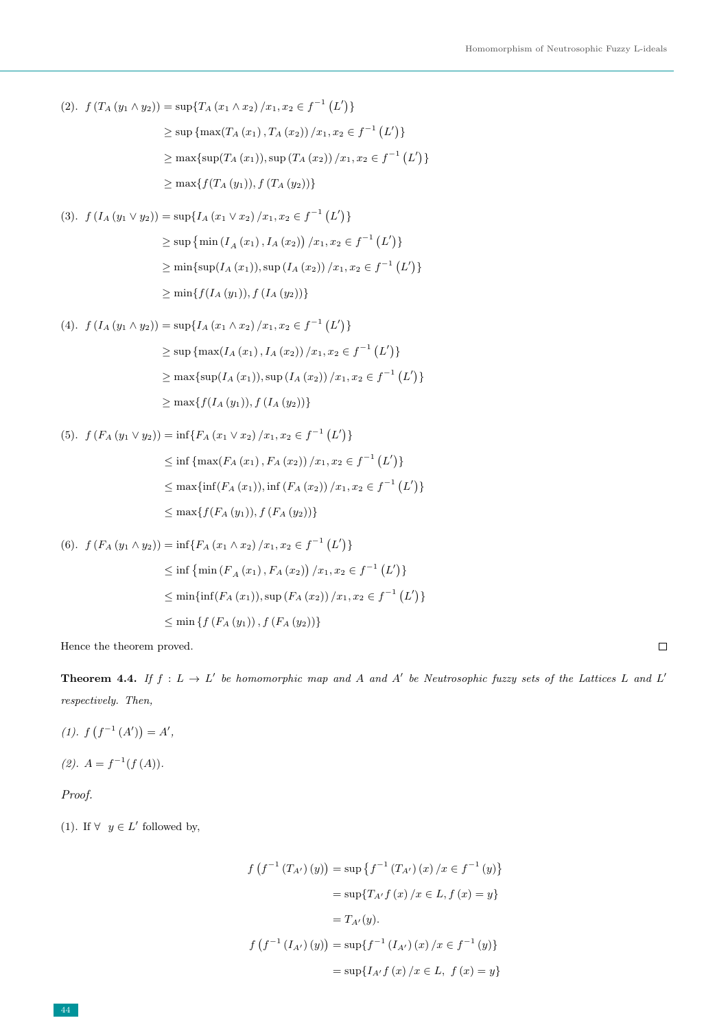(2). 
$$
f(T_A(y_1 \wedge y_2)) = \sup\{T_A(x_1 \wedge x_2)/x_1, x_2 \in f^{-1}(L')\}
$$

$$
\geq \sup \{ \max(T_A(x_1), T_A(x_2)) / x_1, x_2 \in f^{-1}(L') \}
$$
  
 
$$
\geq \max \{ \sup(T_A(x_1)), \sup(T_A(x_2)) / x_1, x_2 \in f^{-1}(L') \}
$$
  
 
$$
\geq \max \{ f(T_A(y_1)), f(T_A(y_2)) \}
$$

$$
(3). \ f\left(I_A\left(y_1 \vee y_2\right)\right) = \sup\{I_A\left(x_1 \vee x_2\right) / x_1, x_2 \in f^{-1}\left(L'\right)\}\
$$

$$
\geq \sup\left\{\min\left(I_A\left(x_1\right), I_A\left(x_2\right)\right) / x_1, x_2 \in f^{-1}\left(L'\right)\right\}\
$$

$$
\geq \min\left\{\sup(I_A\left(x_1\right)), \sup\left(I_A\left(x_2\right)\right) / x_1, x_2 \in f^{-1}\left(L'\right)\right\}\
$$

$$
\geq \min\{f(I_A\left(y_1\right)), f\left(I_A\left(y_2\right)\right)\}\
$$

$$
(4). \ f\left(I_A\left(y_1 \wedge y_2\right)\right) = \sup\{I_A\left(x_1 \wedge x_2\right) / x_1, x_2 \in f^{-1}\left(L'\right)\}\
$$

$$
\geq \sup\left\{\max(I_A\left(x_1\right), I_A\left(x_2\right)) / x_1, x_2 \in f^{-1}\left(L'\right)\right\}\
$$

$$
\geq \max\left\{\sup(I_A\left(x_1\right)), \sup(I_A\left(x_2\right)) / x_1, x_2 \in f^{-1}\left(L'\right)\right\}\
$$

$$
\geq \max\{f(I_A\left(y_1\right)), f\left(I_A\left(y_2\right)\right)\}\
$$

(5). 
$$
f(F_A(y_1 \vee y_2)) = \inf\{F_A(x_1 \vee x_2)/x_1, x_2 \in f^{-1}(L')\}
$$
  
\n $\leq \inf \{\max(F_A(x_1), F_A(x_2))/x_1, x_2 \in f^{-1}(L')\}$   
\n $\leq \max \{\inf(F_A(x_1)), \inf(F_A(x_2))/x_1, x_2 \in f^{-1}(L')\}$   
\n $\leq \max \{f(F_A(y_1)), f(F_A(y_2))\}$ 

(6). 
$$
f(F_A(y_1 \wedge y_2)) = \inf\{F_A(x_1 \wedge x_2)/x_1, x_2 \in f^{-1}(L')\}
$$
  
\n $\leq \inf \{\min(F_A(x_1), F_A(x_2))/x_1, x_2 \in f^{-1}(L')\}$   
\n $\leq \min\{\inf(F_A(x_1)), \sup(F_A(x_2))/x_1, x_2 \in f^{-1}(L')\}$   
\n $\leq \min \{f(F_A(y_1)), f(F_A(y_2))\}$ 

Hence the theorem proved.

**Theorem 4.4.** If  $f: L \to L'$  be homomorphic map and A and A' be Neutrosophic fuzzy sets of the Lattices L and L' respectively. Then,

- (1).  $f(f^{-1}(A')) = A'$ ,
- $(2). A = f^{-1}(f(A)).$

Proof.

(1). If  $\forall y \in L'$  followed by,

$$
f(f^{-1}(T_{A'})(y)) = \sup \{f^{-1}(T_{A'})(x)/x \in f^{-1}(y)\}
$$

$$
= \sup \{T_{A'}f(x)/x \in L, f(x) = y\}
$$

$$
= T_{A'}(y).
$$

$$
f(f^{-1}(I_{A'})(y)) = \sup \{f^{-1}(I_{A'})(x)/x \in f^{-1}(y)\}
$$

$$
= \sup \{I_{A'}f(x)/x \in L, f(x) = y\}
$$

 $\Box$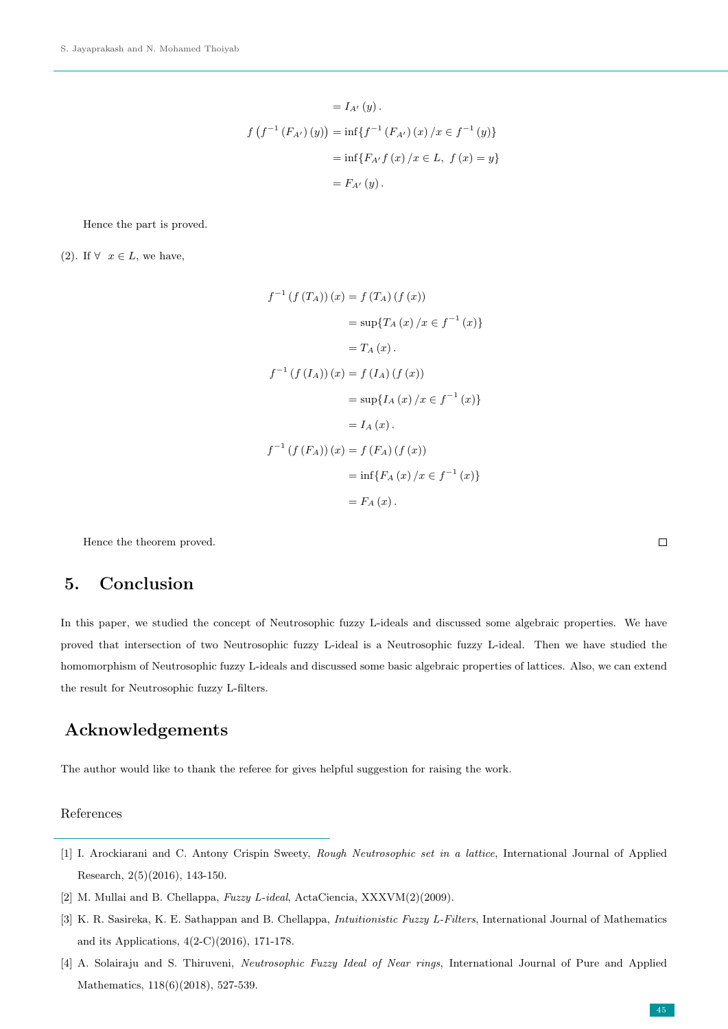$$
= I_{A'}(y).
$$
  

$$
f(f^{-1}(F_{A'})(y)) = \inf\{f^{-1}(F_{A'})(x) / x \in f^{-1}(y)\}
$$
  

$$
= \inf\{F_{A'}f(x) / x \in L, f(x) = y\}
$$
  

$$
= F_{A'}(y).
$$

Hence the part is proved.

(2). If  $\forall x \in L$ , we have,

$$
f^{-1} (f (T_A)) (x) = f (T_A) (f (x))
$$
  
\n
$$
= \sup \{ T_A (x) / x \in f^{-1} (x) \}
$$
  
\n
$$
= T_A (x).
$$
  
\n
$$
f^{-1} (f (I_A)) (x) = f (I_A) (f (x))
$$
  
\n
$$
= \sup \{ I_A (x) / x \in f^{-1} (x) \}
$$
  
\n
$$
= I_A (x).
$$
  
\n
$$
f^{-1} (f (F_A)) (x) = f (F_A) (f (x))
$$
  
\n
$$
= \inf \{ F_A (x) / x \in f^{-1} (x) \}
$$
  
\n
$$
= F_A (x).
$$

Hence the theorem proved.

# 5. Conclusion

In this paper, we studied the concept of Neutrosophic fuzzy L-ideals and discussed some algebraic properties. We have proved that intersection of two Neutrosophic fuzzy L-ideal is a Neutrosophic fuzzy L-ideal. Then we have studied the homomorphism of Neutrosophic fuzzy L-ideals and discussed some basic algebraic properties of lattices. Also, we can extend the result for Neutrosophic fuzzy L-filters.

# Acknowledgements

The author would like to thank the referee for gives helpful suggestion for raising the work.

#### References

- [1] I. Arockiarani and C. Antony Crispin Sweety, Rough Neutrosophic set in a lattice, International Journal of Applied Research, 2(5)(2016), 143-150.
- <span id="page-8-0"></span>[2] M. Mullai and B. Chellappa, Fuzzy L-ideal, ActaCiencia, XXXVM(2)(2009).
- [3] K. R. Sasireka, K. E. Sathappan and B. Chellappa, *Intuitionistic Fuzzy L-Filters*, International Journal of Mathematics and its Applications, 4(2-C)(2016), 171-178.
- [4] A. Solairaju and S. Thiruveni, Neutrosophic Fuzzy Ideal of Near rings, International Journal of Pure and Applied Mathematics, 118(6)(2018), 527-539.